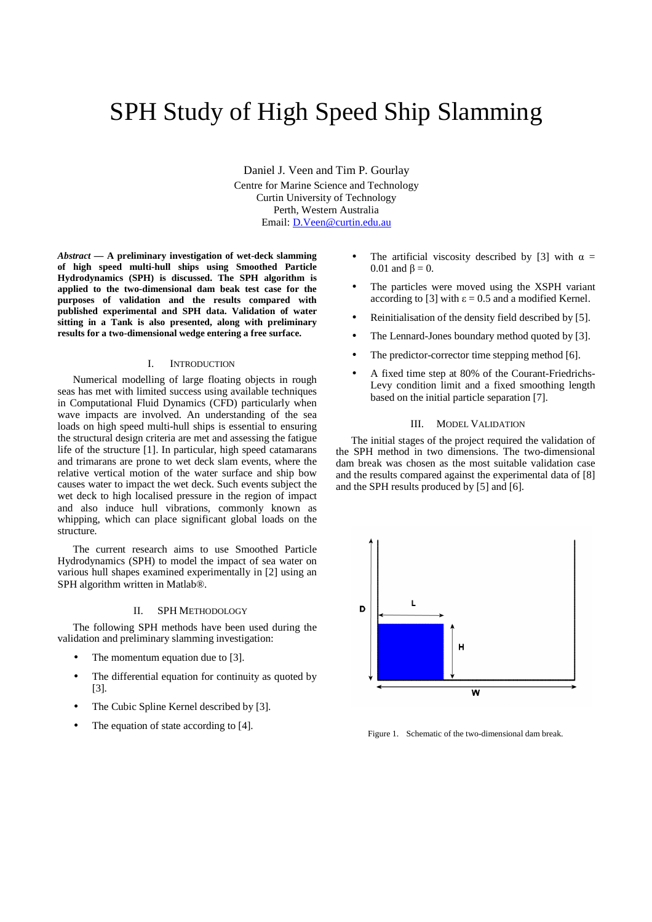# SPH Study of High Speed Ship Slamming

Daniel J. Veen and Tim P. Gourlay Centre for Marine Science and Technology Curtin University of Technology Perth, Western Australia Email: D.Veen@curtin.edu.au

*Abstract* **— A preliminary investigation of wet-deck slamming of high speed multi-hull ships using Smoothed Particle Hydrodynamics (SPH) is discussed. The SPH algorithm is applied to the two-dimensional dam beak test case for the purposes of validation and the results compared with published experimental and SPH data. Validation of water sitting in a Tank is also presented, along with preliminary results for a two-dimensional wedge entering a free surface.** 

# I. INTRODUCTION

Numerical modelling of large floating objects in rough seas has met with limited success using available techniques in Computational Fluid Dynamics (CFD) particularly when wave impacts are involved. An understanding of the sea loads on high speed multi-hull ships is essential to ensuring the structural design criteria are met and assessing the fatigue life of the structure [1]. In particular, high speed catamarans and trimarans are prone to wet deck slam events, where the relative vertical motion of the water surface and ship bow causes water to impact the wet deck. Such events subject the wet deck to high localised pressure in the region of impact and also induce hull vibrations, commonly known as whipping, which can place significant global loads on the structure.

The current research aims to use Smoothed Particle Hydrodynamics (SPH) to model the impact of sea water on various hull shapes examined experimentally in [2] using an SPH algorithm written in Matlab®.

# II. SPH METHODOLOGY

The following SPH methods have been used during the validation and preliminary slamming investigation:

- The momentum equation due to [3].
- The differential equation for continuity as quoted by [3].
- The Cubic Spline Kernel described by [3].
- The equation of state according to [4].
- The artificial viscosity described by [3] with  $\alpha =$ 0.01 and  $β = 0$ .
- The particles were moved using the XSPH variant according to [3] with  $\varepsilon = 0.5$  and a modified Kernel.
- Reinitialisation of the density field described by [5].
- The Lennard-Jones boundary method quoted by [3].
- The predictor-corrector time stepping method [6].
- A fixed time step at 80% of the Courant-Friedrichs-Levy condition limit and a fixed smoothing length based on the initial particle separation [7].

# III. MODEL VALIDATION

The initial stages of the project required the validation of the SPH method in two dimensions. The two-dimensional dam break was chosen as the most suitable validation case and the results compared against the experimental data of [8] and the SPH results produced by [5] and [6].



Figure 1. Schematic of the two-dimensional dam break.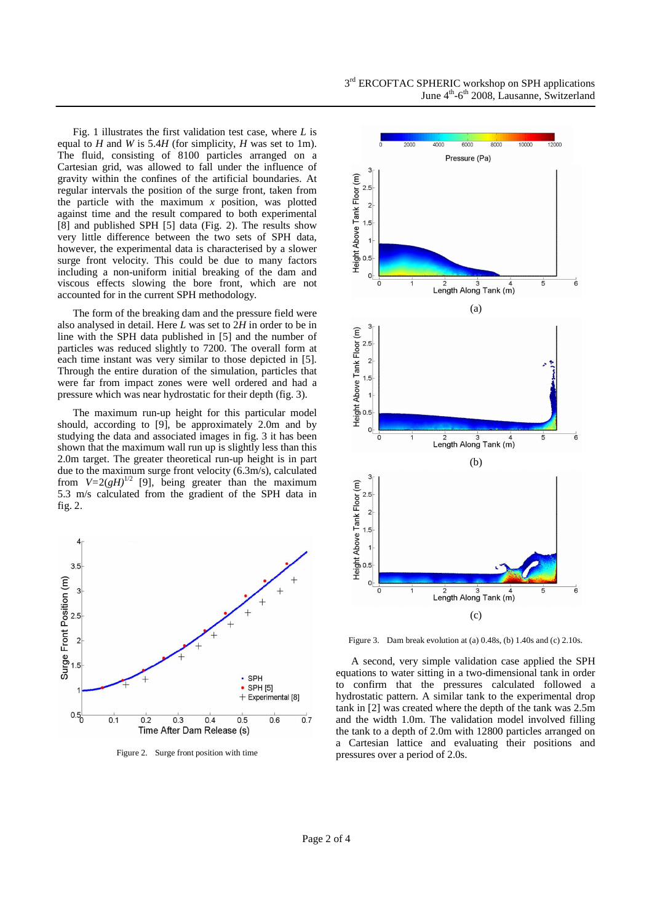Fig. 1 illustrates the first validation test case, where *L* is equal to *H* and *W* is 5.4*H* (for simplicity, *H* was set to 1m). The fluid, consisting of 8100 particles arranged on a Cartesian grid, was allowed to fall under the influence of gravity within the confines of the artificial boundaries. At regular intervals the position of the surge front, taken from the particle with the maximum *x* position, was plotted against time and the result compared to both experimental [8] and published SPH [5] data (Fig. 2). The results show very little difference between the two sets of SPH data, however, the experimental data is characterised by a slower surge front velocity. This could be due to many factors including a non-uniform initial breaking of the dam and viscous effects slowing the bore front, which are not accounted for in the current SPH methodology.

The form of the breaking dam and the pressure field were also analysed in detail. Here *L* was set to 2*H* in order to be in line with the SPH data published in [5] and the number of particles was reduced slightly to 7200. The overall form at each time instant was very similar to those depicted in [5]. Through the entire duration of the simulation, particles that were far from impact zones were well ordered and had a pressure which was near hydrostatic for their depth (fig. 3).

The maximum run-up height for this particular model should, according to [9], be approximately 2.0m and by studying the data and associated images in fig. 3 it has been shown that the maximum wall run up is slightly less than this 2.0m target. The greater theoretical run-up height is in part due to the maximum surge front velocity (6.3m/s), calculated from  $V=2(gH)^{1/2}$  [9], being greater than the maximum 5.3 m/s calculated from the gradient of the SPH data in fig. 2.



Figure 2. Surge front position with time



Figure 3. Dam break evolution at (a) 0.48s, (b) 1.40s and (c) 2.10s.

A second, very simple validation case applied the SPH equations to water sitting in a two-dimensional tank in order to confirm that the pressures calculated followed a hydrostatic pattern. A similar tank to the experimental drop tank in [2] was created where the depth of the tank was 2.5m and the width 1.0m. The validation model involved filling the tank to a depth of 2.0m with 12800 particles arranged on a Cartesian lattice and evaluating their positions and pressures over a period of 2.0s.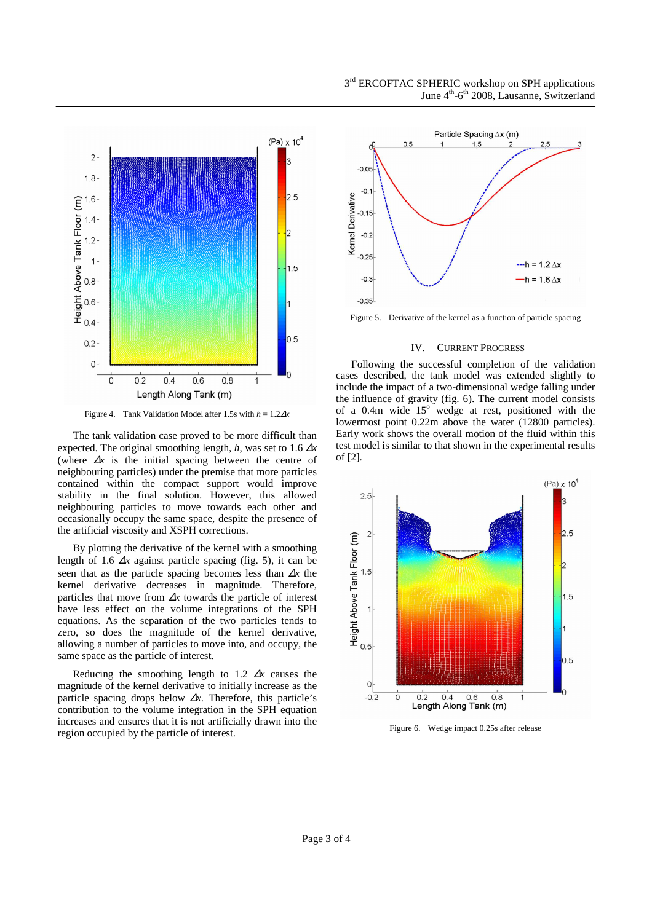

Figure 4. Tank Validation Model after 1.5s with *h* = 1.2∆*x*

The tank validation case proved to be more difficult than expected. The original smoothing length, *h*, was set to 1.6 ∆*x* (where ∆*x* is the initial spacing between the centre of neighbouring particles) under the premise that more particles contained within the compact support would improve stability in the final solution. However, this allowed neighbouring particles to move towards each other and occasionally occupy the same space, despite the presence of the artificial viscosity and XSPH corrections.

By plotting the derivative of the kernel with a smoothing length of 1.6 ∆*x* against particle spacing (fig. 5), it can be seen that as the particle spacing becomes less than <sup>∆</sup>*x* the kernel derivative decreases in magnitude. Therefore, particles that move from ∆*x* towards the particle of interest have less effect on the volume integrations of the SPH equations. As the separation of the two particles tends to zero, so does the magnitude of the kernel derivative, allowing a number of particles to move into, and occupy, the same space as the particle of interest.

Reducing the smoothing length to 1.2 ∆*x* causes the magnitude of the kernel derivative to initially increase as the particle spacing drops below ∆*x*. Therefore, this particle's contribution to the volume integration in the SPH equation increases and ensures that it is not artificially drawn into the region occupied by the particle of interest.





Figure 5. Derivative of the kernel as a function of particle spacing

### IV. CURRENT PROGRESS

Following the successful completion of the validation cases described, the tank model was extended slightly to include the impact of a two-dimensional wedge falling under the influence of gravity (fig. 6). The current model consists of a 0.4m wide  $15^\circ$  wedge at rest, positioned with the lowermost point 0.22m above the water (12800 particles). Early work shows the overall motion of the fluid within this test model is similar to that shown in the experimental results of [2].



Figure 6. Wedge impact 0.25s after release